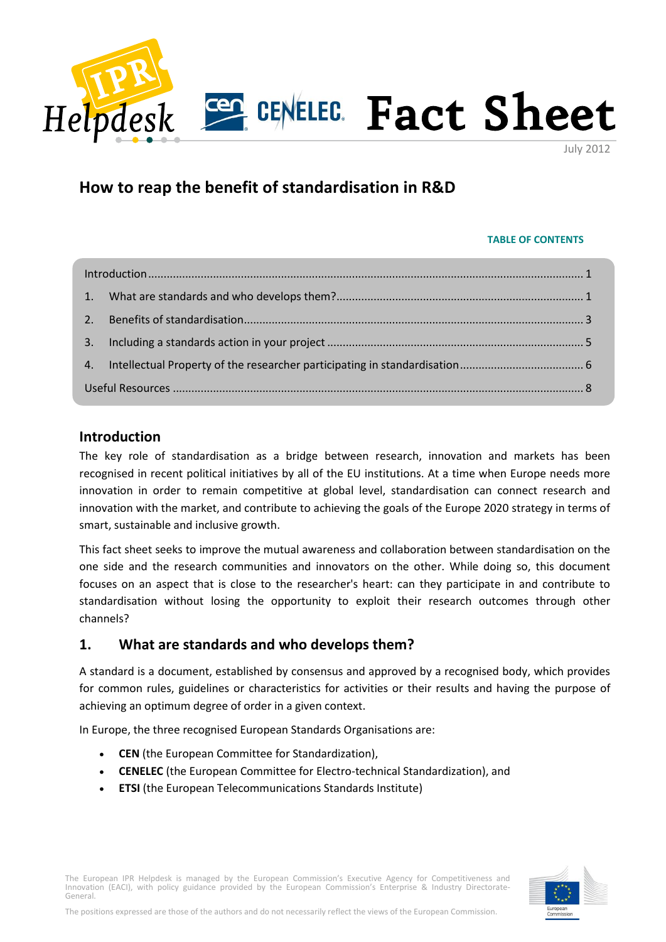

July 2012

# **How to reap the benefit of standardisation in R&D**

#### **TABLE OF CONTENTS**

| 2.7 |  |  |
|-----|--|--|
| 3.  |  |  |
| 4.  |  |  |
|     |  |  |

# <span id="page-0-0"></span>**Introduction**

The key role of standardisation as a bridge between research, innovation and markets has been recognised in recent political initiatives by all of the EU institutions. At a time when Europe needs more innovation in order to remain competitive at global level, standardisation can connect research and innovation with the market, and contribute to achieving the goals of the Europe 2020 strategy in terms of smart, sustainable and inclusive growth.

This fact sheet seeks to improve the mutual awareness and collaboration between standardisation on the one side and the research communities and innovators on the other. While doing so, this document focuses on an aspect that is close to the researcher's heart: can they participate in and contribute to standardisation without losing the opportunity to exploit their research outcomes through other channels?

# <span id="page-0-1"></span>**1. What are standards and who develops them?**

A standard is a document, established by consensus and approved by a recognised body, which provides for common rules, guidelines or characteristics for activities or their results and having the purpose of achieving an optimum degree of order in a given context.

In Europe, the three recognised European Standards Organisations are:

- **CEN** (the European Committee for Standardization),
- **CENELEC** (the European Committee for Electro-technical Standardization), and
- **ETSI** (the European Telecommunications Standards Institute)

The European IPR Helpdesk is managed by the European Commission's Executive Agency for Competitiveness and Innovation (EACI), with policy guidance provided by the European Commission's Enterprise & Industry Directorate-General.

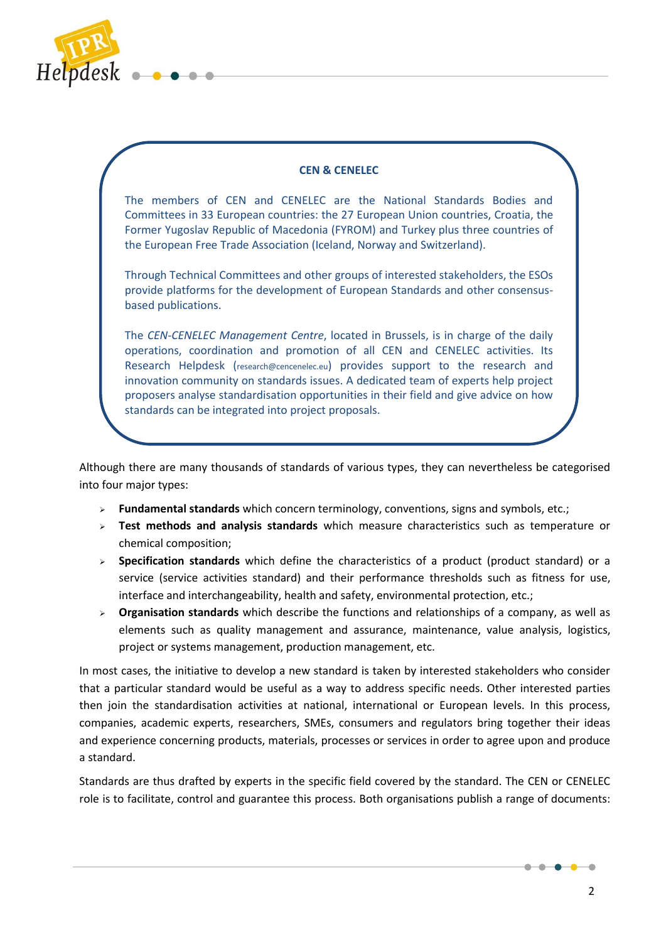

#### **CEN & CENELEC**

The members of CEN and CENELEC are the National Standards Bodies and Committees in 33 European countries: the 27 European Union countries, Croatia, the Former Yugoslav Republic of Macedonia (FYROM) and Turkey plus three countries of the European Free Trade Association (Iceland, Norway and Switzerland).

Through Technical Committees and other groups of interested stakeholders, the ESOs provide platforms for the development of European Standards and other consensusbased publications.

The *CEN-CENELEC Management Centre*, located in Brussels, is in charge of the daily operations, coordination and promotion of all CEN and CENELEC activities. Its Research Helpdesk ([research@cencenelec.eu](mailto:research@cencenelec.eu)) provides support to the research and innovation community on standards issues. A dedicated team of experts help project proposers analyse standardisation opportunities in their field and give advice on how standards can be integrated into project proposals.

Although there are many thousands of standards of various types, they can nevertheless be categorised into four major types:

- **Fundamental standards** which concern terminology, conventions, signs and symbols, etc.;
- **Test methods and analysis standards** which measure characteristics such as temperature or chemical composition;
- **Specification standards** which define the characteristics of a product (product standard) or a service (service activities standard) and their performance thresholds such as fitness for use, interface and interchangeability, health and safety, environmental protection, etc.;
- **Organisation standards** which describe the functions and relationships of a company, as well as elements such as quality management and assurance, maintenance, value analysis, logistics, project or systems management, production management, etc.

In most cases, the initiative to develop a new standard is taken by interested stakeholders who consider that a particular standard would be useful as a way to address specific needs. Other interested parties then join the standardisation activities at national, international or European levels. In this process, companies, academic experts, researchers, SMEs, consumers and regulators bring together their ideas and experience concerning products, materials, processes or services in order to agree upon and produce a standard.

Standards are thus drafted by experts in the specific field covered by the standard. The CEN or CENELEC role is to facilitate, control and guarantee this process. Both organisations publish a range of documents:

 $\bullet$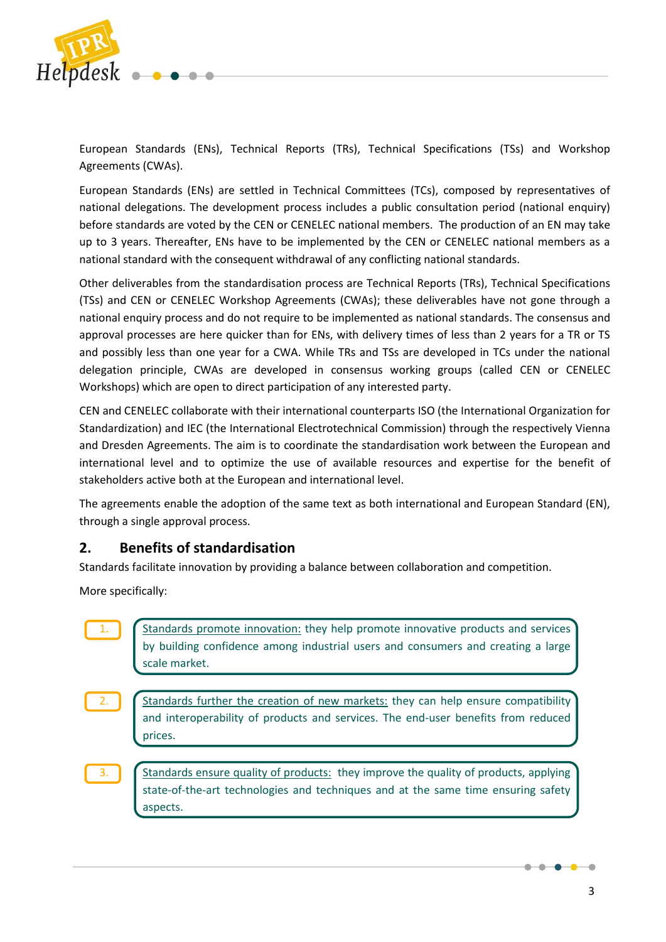

European Standards (ENs), Technical Reports (TRs), Technical Specifications (TSs) and Workshop Agreements (CWAs).

European Standards (ENs) are settled in Technical Committees (TCs), composed by representatives of national delegations. The development process includes a public consultation period (national enquiry) before standards are voted by the CEN or CENELEC national members. The production of an EN may take up to 3 years. Thereafter, ENs have to be implemented by the CEN or CENELEC national members as a national standard with the consequent withdrawal of any conflicting national standards.

Other deliverables from the standardisation process are Technical Reports (TRs), Technical Specifications (TSs) and CEN or CENELEC Workshop Agreements (CWAs); these deliverables have not gone through a national enquiry process and do not require to be implemented as national standards. The consensus and approval processes are here quicker than for ENs, with delivery times of less than 2 years for a TR or TS and possibly less than one year for a CWA. While TRs and TSs are developed in TCs under the national delegation principle, CWAs are developed in consensus working groups (called CEN or CENELEC Workshops) which are open to direct participation of any interested party.

CEN and CENELEC collaborate with their international counterparts ISO (the International Organization for Standardization) and IEC (the International Electrotechnical Commission) through the respectively Vienna and Dresden Agreements. The aim is to coordinate the standardisation work between the European and international level and to optimize the use of available resources and expertise for the benefit of stakeholders active both at the European and international level.

The agreements enable the adoption of the same text as both international and European Standard (EN), through a single approval process.

# <span id="page-2-0"></span>**2. Benefits of standardisation**

Standards facilitate innovation by providing a balance between collaboration and competition.

More specifically:

|    | Standards promote innovation: they help promote innovative products and services<br>by building confidence among industrial users and consumers and creating a large<br>scale market. |
|----|---------------------------------------------------------------------------------------------------------------------------------------------------------------------------------------|
| 2. | Standards further the creation of new markets: they can help ensure compatibility<br>and interoperability of products and services. The end-user benefits from reduced<br>prices.     |
| 3. | Standards ensure quality of products: they improve the quality of products, applying<br>state-of-the-art technologies and techniques and at the same time ensuring safety<br>aspects. |

 $\bullet$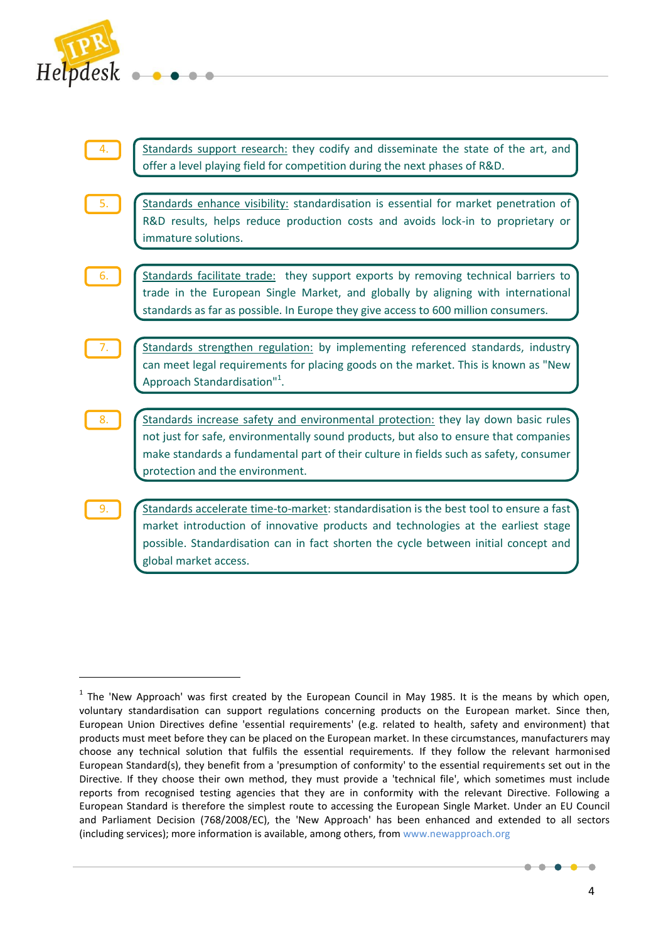

 $\overline{\phantom{a}}$ 



 $<sup>1</sup>$  The 'New Approach' was first created by the European Council in May 1985. It is the means by which open,</sup> voluntary standardisation can support regulations concerning products on the European market. Since then, European Union Directives define 'essential requirements' (e.g. related to health, safety and environment) that products must meet before they can be placed on the European market. In these circumstances, manufacturers may choose any technical solution that fulfils the essential requirements. If they follow the relevant harmonised European Standard(s), they benefit from a 'presumption of conformity' to the essential requirements set out in the Directive. If they choose their own method, they must provide a 'technical file', which sometimes must include reports from recognised testing agencies that they are in conformity with the relevant Directive. Following a European Standard is therefore the simplest route to accessing the European Single Market. Under an EU Council and Parliament Decision (768/2008/EC), the 'New Approach' has been enhanced and extended to all sectors (including services); more information is available, among others, fro[m www.newapproach.org](http://www.newapproach.org/) 

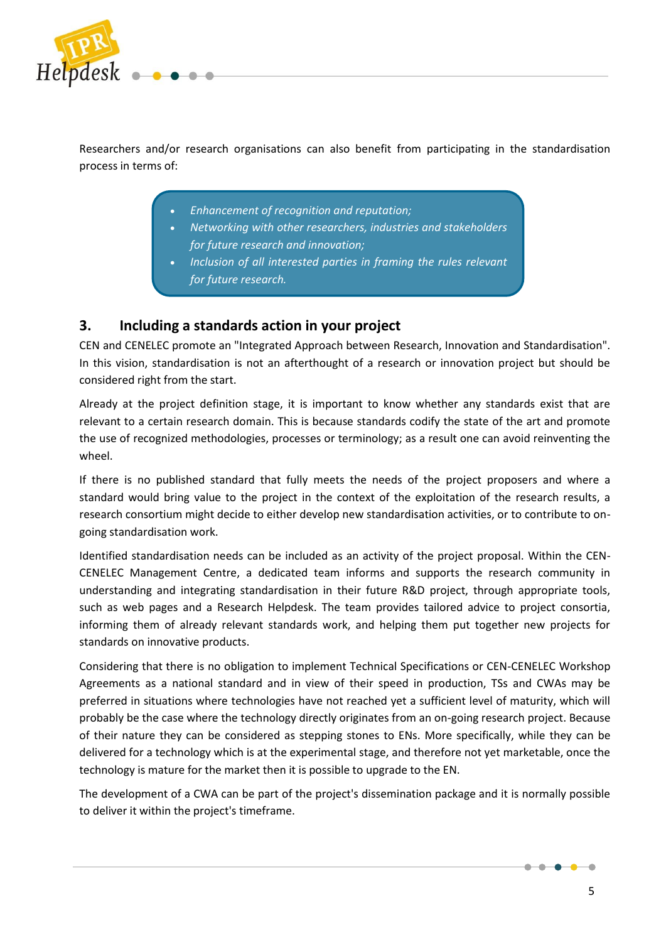

Researchers and/or research organisations can also benefit from participating in the standardisation process in terms of:

- *Enhancement of recognition and reputation;*
- *Networking with other researchers, industries and stakeholders for future research and innovation;*
- *Inclusion of all interested parties in framing the rules relevant for future research.*

# <span id="page-4-0"></span>**3. Including a standards action in your project**

CEN and CENELEC promote an "Integrated Approach between Research, Innovation and Standardisation". In this vision, standardisation is not an afterthought of a research or innovation project but should be considered right from the start.

Already at the project definition stage, it is important to know whether any standards exist that are relevant to a certain research domain. This is because standards codify the state of the art and promote the use of recognized methodologies, processes or terminology; as a result one can avoid reinventing the wheel.

If there is no published standard that fully meets the needs of the project proposers and where a standard would bring value to the project in the context of the exploitation of the research results, a research consortium might decide to either develop new standardisation activities, or to contribute to ongoing standardisation work.

Identified standardisation needs can be included as an activity of the project proposal. Within the CEN-CENELEC Management Centre, a dedicated team informs and supports the research community in understanding and integrating standardisation in their future R&D project, through appropriate tools, such as web pages and a Research Helpdesk. The team provides tailored advice to project consortia, informing them of already relevant standards work, and helping them put together new projects for standards on innovative products.

Considering that there is no obligation to implement Technical Specifications or CEN-CENELEC Workshop Agreements as a national standard and in view of their speed in production, TSs and CWAs may be preferred in situations where technologies have not reached yet a sufficient level of maturity, which will probably be the case where the technology directly originates from an on-going research project. Because of their nature they can be considered as stepping stones to ENs. More specifically, while they can be delivered for a technology which is at the experimental stage, and therefore not yet marketable, once the technology is mature for the market then it is possible to upgrade to the EN.

The development of a CWA can be part of the project's dissemination package and it is normally possible to deliver it within the project's timeframe.

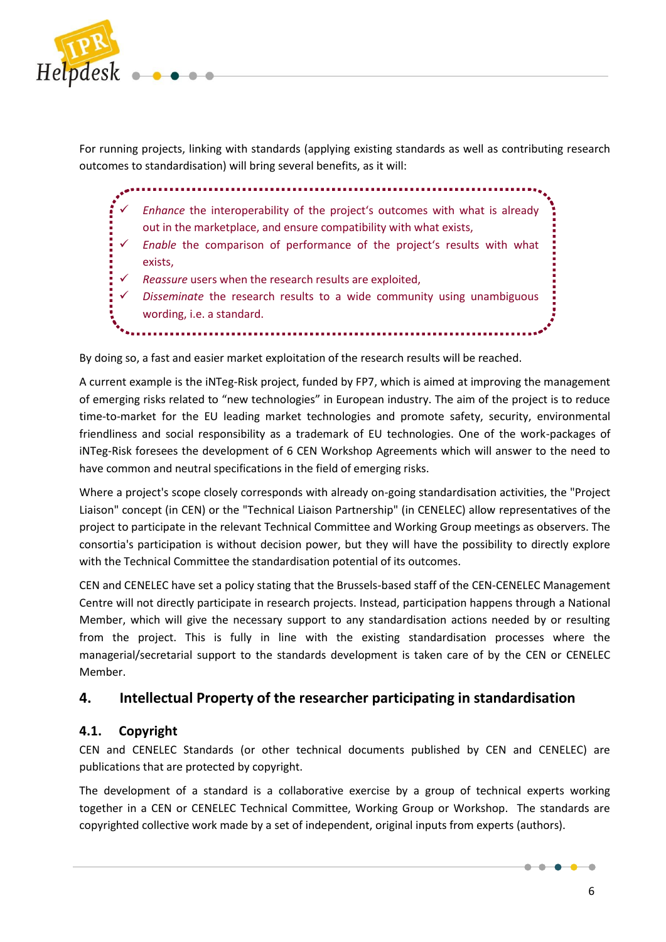

For running projects, linking with standards (applying existing standards as well as contributing research outcomes to standardisation) will bring several benefits, as it will:

 $\checkmark$  Enhance the interoperability of the project's outcomes with what is already out in the marketplace, and ensure compatibility with what exists,

- *Enable* the comparison of performance of the project's results with what exists,
- *Reassure* users when the research results are exploited,
- *Disseminate* the research results to a wide community using unambiguous wording, i.e. a standard.

By doing so, a fast and easier market exploitation of the research results will be reached.

A current example is the iNTeg-Risk project, funded by FP7, which is aimed at improving the management of emerging risks related to "new technologies" in European industry. The aim of the project is to reduce time-to-market for the EU leading market technologies and promote safety, security, environmental friendliness and social responsibility as a trademark of EU technologies. One of the work-packages of iNTeg-Risk foresees the development of 6 CEN Workshop Agreements which will answer to the need to have common and neutral specifications in the field of emerging risks.

Where a project's scope closely corresponds with already on-going standardisation activities, the "Project Liaison" concept (in CEN) or the "Technical Liaison Partnership" (in CENELEC) allow representatives of the project to participate in the relevant Technical Committee and Working Group meetings as observers. The consortia's participation is without decision power, but they will have the possibility to directly explore with the Technical Committee the standardisation potential of its outcomes.

CEN and CENELEC have set a policy stating that the Brussels-based staff of the CEN-CENELEC Management Centre will not directly participate in research projects. Instead, participation happens through a National Member, which will give the necessary support to any standardisation actions needed by or resulting from the project. This is fully in line with the existing standardisation processes where the managerial/secretarial support to the standards development is taken care of by the CEN or CENELEC Member.

# <span id="page-5-0"></span>**4. Intellectual Property of the researcher participating in standardisation**

## **4.1. Copyright**

CEN and CENELEC Standards (or other technical documents published by CEN and CENELEC) are publications that are protected by copyright.

The development of a standard is a collaborative exercise by a group of technical experts working together in a CEN or CENELEC Technical Committee, Working Group or Workshop. The standards are copyrighted collective work made by a set of independent, original inputs from experts (authors).

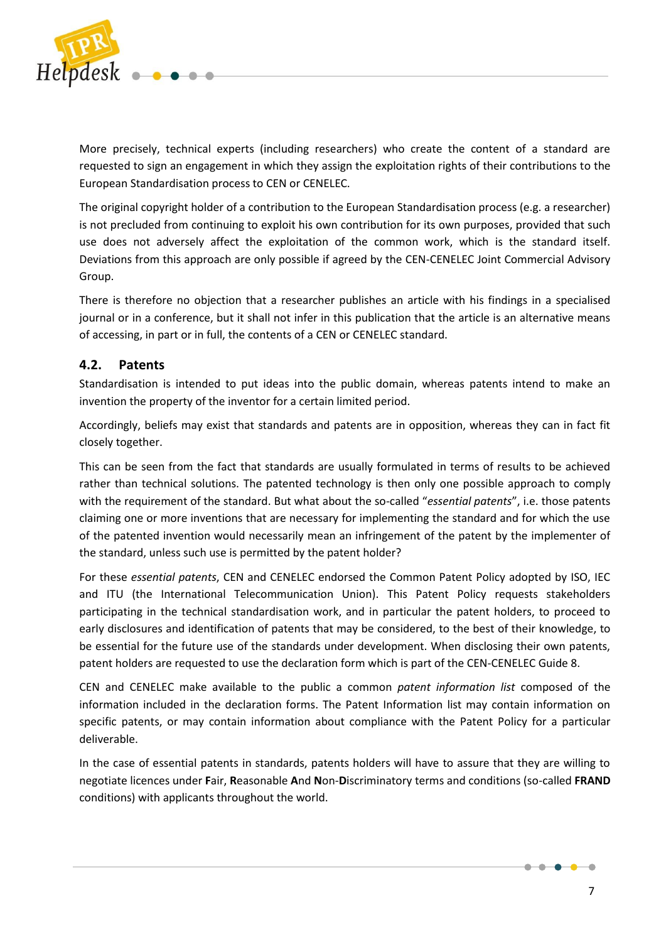

More precisely, technical experts (including researchers) who create the content of a standard are requested to sign an engagement in which they assign the exploitation rights of their contributions to the European Standardisation process to CEN or CENELEC.

The original copyright holder of a contribution to the European Standardisation process (e.g. a researcher) is not precluded from continuing to exploit his own contribution for its own purposes, provided that such use does not adversely affect the exploitation of the common work, which is the standard itself. Deviations from this approach are only possible if agreed by the CEN-CENELEC Joint Commercial Advisory Group.

There is therefore no objection that a researcher publishes an article with his findings in a specialised journal or in a conference, but it shall not infer in this publication that the article is an alternative means of accessing, in part or in full, the contents of a CEN or CENELEC standard.

## **4.2. Patents**

Standardisation is intended to put ideas into the public domain, whereas patents intend to make an invention the property of the inventor for a certain limited period.

Accordingly, beliefs may exist that standards and patents are in opposition, whereas they can in fact fit closely together.

This can be seen from the fact that standards are usually formulated in terms of results to be achieved rather than technical solutions. The patented technology is then only one possible approach to comply with the requirement of the standard. But what about the so-called "*essential patents*", i.e. those patents claiming one or more inventions that are necessary for implementing the standard and for which the use of the patented invention would necessarily mean an infringement of the patent by the implementer of the standard, unless such use is permitted by the patent holder?

For these *essential patents*, CEN and CENELEC endorsed the Common Patent Policy adopted by ISO, IEC and ITU (the International Telecommunication Union). This Patent Policy requests stakeholders participating in the technical standardisation work, and in particular the patent holders, to proceed to early disclosures and identification of patents that may be considered, to the best of their knowledge, to be essential for the future use of the standards under development. When disclosing their own patents, patent holders are requested to use the declaration form which is part of the CEN-CENELEC Guide 8.

CEN and CENELEC make available to the public a common *patent information list* composed of the information included in the declaration forms. The Patent Information list may contain information on specific patents, or may contain information about compliance with the Patent Policy for a particular deliverable.

In the case of essential patents in standards, patents holders will have to assure that they are willing to negotiate licences under **F**air, **R**easonable **A**nd **N**on-**D**iscriminatory terms and conditions (so-called **FRAND** conditions) with applicants throughout the world.



 $\bullet\hspace{-4pt}-\hspace{-4pt}-\hspace{-4pt}-$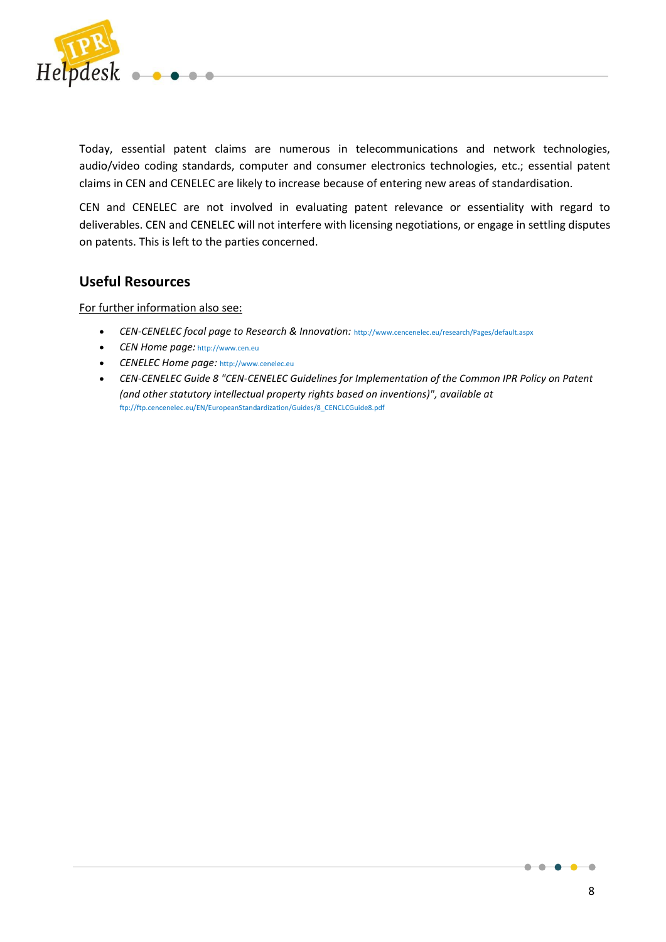

Today, essential patent claims are numerous in telecommunications and network technologies, audio/video coding standards, computer and consumer electronics technologies, etc.; essential patent claims in CEN and CENELEC are likely to increase because of entering new areas of standardisation.

CEN and CENELEC are not involved in evaluating patent relevance or essentiality with regard to deliverables. CEN and CENELEC will not interfere with licensing negotiations, or engage in settling disputes on patents. This is left to the parties concerned.

## <span id="page-7-0"></span>**Useful Resources**

For further information also see:

- *CEN-CENELEC focal page to Research & Innovation:* <http://www.cencenelec.eu/research/Pages/default.aspx>
- *CEN Home page:* [http://www.cen.eu](http://www.cen.eu/)
- *CENELEC Home page:* [http://www.cenelec.eu](http://www.cenelec.eu/)
- *CEN-CENELEC Guide 8 "CEN-CENELEC Guidelines for Implementation of the Common IPR Policy on Patent (and other statutory intellectual property rights based on inventions)", available at*  [ftp://ftp.cencenelec.eu/EN/EuropeanStandardization/Guides/8\\_CENCLCGuide8.pdf](ftp://ftp.cencenelec.eu/EN/EuropeanStandardization/Guides/8_CENCLCGuide8.pdf)

۰

 $\bullet$  $\bullet$ -0